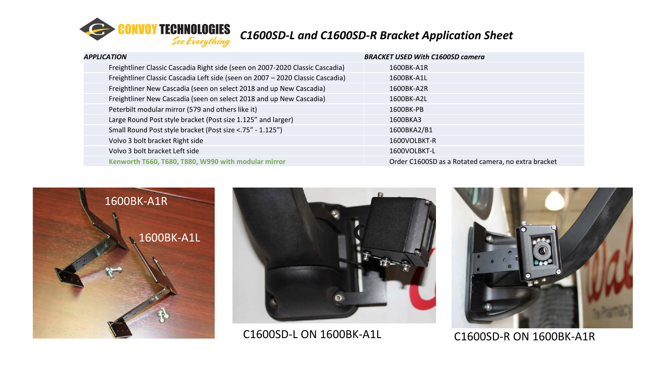

| APPLICATION |                                                                                | <b>BRACKET USED With C1600SD camera</b>             |  |
|-------------|--------------------------------------------------------------------------------|-----------------------------------------------------|--|
|             | Freightliner Classic Cascadia Right side (seen on 2007-2020 Classic Cascadia)  | 1600BK-A1R                                          |  |
|             | Freightliner Classic Cascadia Left side (seen on 2007 - 2020 Classic Cascadia) | 1600BK-A1L                                          |  |
|             | Freightliner New Cascadia (seen on select 2018 and up New Cascadia)            | 1600BK-A2R                                          |  |
|             | Freightliner New Cascadia (seen on select 2018 and up New Cascadia)            | 1600BK-A2L                                          |  |
|             | Peterbilt modular mirror (579 and others like it)                              | 1600BK-PB                                           |  |
|             | Large Round Post style bracket (Post size 1.125" and larger)                   | 1600BKA3                                            |  |
|             | Small Round Post style bracket (Post size <. 75" - 1.125")                     | 1600BKA2/B1                                         |  |
|             | Volvo 3 bolt bracket Right side                                                | 1600VOLBKT-R                                        |  |
|             | Volvo 3 bolt bracket Left side                                                 | 1600VOLBKT-L                                        |  |
|             | Kenworth T660, T680, T880, W990 with modular mirror                            | Order C1600SD as a Rotated camera, no extra bracket |  |
|             |                                                                                |                                                     |  |





C1600SD-L ON 1600BK-A1L C1600SD-R ON 1600BK-A1R

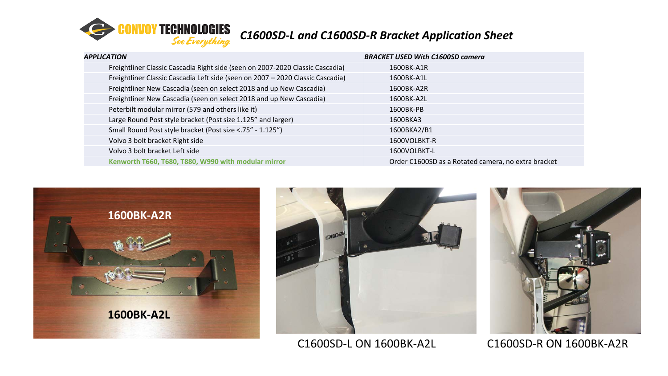

| APPLICATION |                                                                                | <b>BRACKET USED With C1600SD camera</b>             |  |
|-------------|--------------------------------------------------------------------------------|-----------------------------------------------------|--|
|             | Freightliner Classic Cascadia Right side (seen on 2007-2020 Classic Cascadia)  | 1600BK-A1R                                          |  |
|             | Freightliner Classic Cascadia Left side (seen on 2007 - 2020 Classic Cascadia) | 1600BK-A1L                                          |  |
|             | Freightliner New Cascadia (seen on select 2018 and up New Cascadia)            | 1600BK-A2R                                          |  |
|             | Freightliner New Cascadia (seen on select 2018 and up New Cascadia)            | 1600BK-A2L                                          |  |
|             | Peterbilt modular mirror (579 and others like it)                              | 1600BK-PB                                           |  |
|             | Large Round Post style bracket (Post size 1.125" and larger)                   | 1600BKA3                                            |  |
|             | Small Round Post style bracket (Post size <. 75" - 1.125")                     | 1600BKA2/B1                                         |  |
|             | Volvo 3 bolt bracket Right side                                                | 1600VOLBKT-R                                        |  |
|             | Volvo 3 bolt bracket Left side                                                 | 1600VOLBKT-L                                        |  |
|             | Kenworth T660, T680, T880, W990 with modular mirror                            | Order C1600SD as a Rotated camera, no extra bracket |  |
|             |                                                                                |                                                     |  |





C1600SD-L ON 1600BK-A2L C1600SD-R ON 1600BK-A2R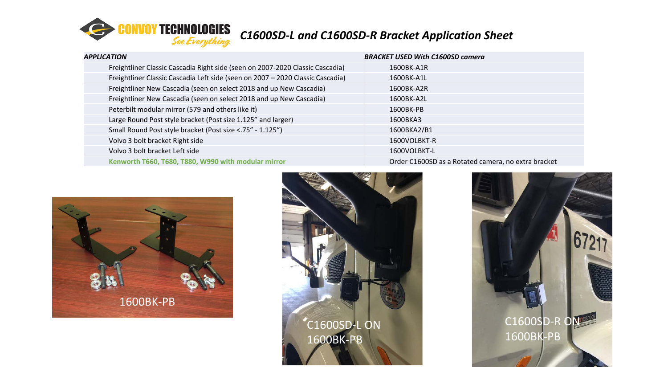

| APPLICATION |                                                                                | <b>BRACKET USED With C1600SD camera</b>             |  |
|-------------|--------------------------------------------------------------------------------|-----------------------------------------------------|--|
|             | Freightliner Classic Cascadia Right side (seen on 2007-2020 Classic Cascadia)  | 1600BK-A1R                                          |  |
|             | Freightliner Classic Cascadia Left side (seen on 2007 - 2020 Classic Cascadia) | 1600BK-A1L                                          |  |
|             | Freightliner New Cascadia (seen on select 2018 and up New Cascadia)            | 1600BK-A2R                                          |  |
|             | Freightliner New Cascadia (seen on select 2018 and up New Cascadia)            | 1600BK-A2L                                          |  |
|             | Peterbilt modular mirror (579 and others like it)                              | 1600BK-PB                                           |  |
|             | Large Round Post style bracket (Post size 1.125" and larger)                   | 1600BKA3                                            |  |
|             | Small Round Post style bracket (Post size <. 75" - 1.125")                     | 1600BKA2/B1                                         |  |
|             | Volvo 3 bolt bracket Right side                                                | 1600VOLBKT-R                                        |  |
|             | Volvo 3 bolt bracket Left side                                                 | 1600VOLBKT-L                                        |  |
|             | Kenworth T660, T680, T880, W990 with modular mirror                            | Order C1600SD as a Rotated camera, no extra bracket |  |
|             |                                                                                |                                                     |  |





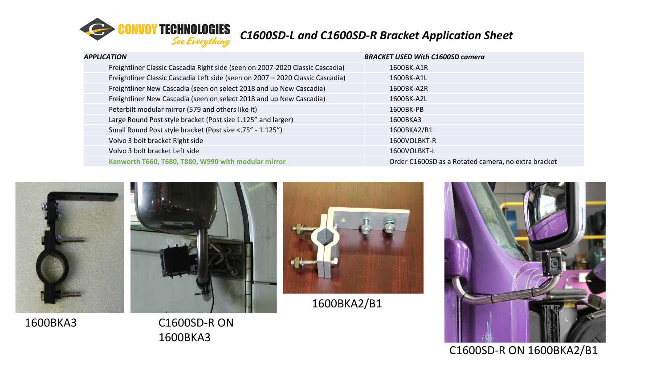

| APPLICATION                                                                    | <b>BRACKET USED With C1600SD camera</b>             |
|--------------------------------------------------------------------------------|-----------------------------------------------------|
| Freightliner Classic Cascadia Right side (seen on 2007-2020 Classic Cascadia)  | 1600BK-A1R                                          |
| Freightliner Classic Cascadia Left side (seen on 2007 - 2020 Classic Cascadia) | 1600BK-A1L                                          |
| Freightliner New Cascadia (seen on select 2018 and up New Cascadia)            | 1600BK-A2R                                          |
| Freightliner New Cascadia (seen on select 2018 and up New Cascadia)            | 1600BK-A2L                                          |
| Peterbilt modular mirror (579 and others like it)                              | 1600BK-PB                                           |
| Large Round Post style bracket (Post size 1.125" and larger)                   | 1600BKA3                                            |
| Small Round Post style bracket (Post size <. 75" - 1.125")                     | 1600BKA2/B1                                         |
| Volvo 3 bolt bracket Right side                                                | 1600VOLBKT-R                                        |
| Volvo 3 bolt bracket Left side                                                 | 1600VOLBKT-L                                        |
| Kenworth T660, T680, T880, W990 with modular mirror                            | Order C1600SD as a Rotated camera, no extra bracket |



1600BKA3

C1600SD-R ON 1600BKA3



1600BKA2/B1



C1600SD-R ON 1600BKA2/B1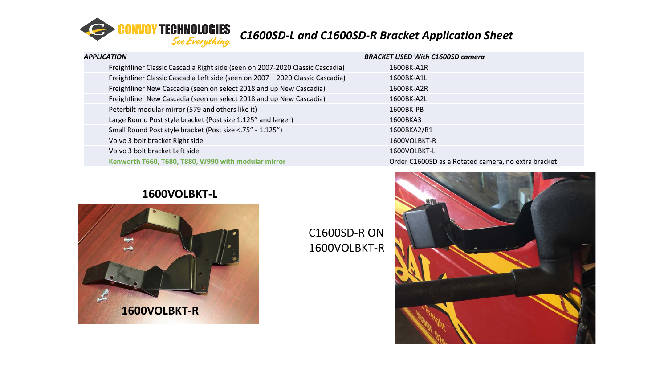

| APPLICATION |                                                                                | <b>BRACKET USED With C1600SD camera</b>             |  |
|-------------|--------------------------------------------------------------------------------|-----------------------------------------------------|--|
|             | Freightliner Classic Cascadia Right side (seen on 2007-2020 Classic Cascadia)  | 1600BK-A1R                                          |  |
|             | Freightliner Classic Cascadia Left side (seen on 2007 - 2020 Classic Cascadia) | 1600BK-A1L                                          |  |
|             | Freightliner New Cascadia (seen on select 2018 and up New Cascadia)            | 1600BK-A2R                                          |  |
|             | Freightliner New Cascadia (seen on select 2018 and up New Cascadia)            | 1600BK-A2L                                          |  |
|             | Peterbilt modular mirror (579 and others like it)                              | 1600BK-PB                                           |  |
|             | Large Round Post style bracket (Post size 1.125" and larger)                   | 1600BKA3                                            |  |
|             | Small Round Post style bracket (Post size <. 75" - 1.125")                     | 1600BKA2/B1                                         |  |
|             | Volvo 3 bolt bracket Right side                                                | 1600VOLBKT-R                                        |  |
|             | Volvo 3 bolt bracket Left side                                                 | 1600VOLBKT-L                                        |  |
|             | Kenworth T660, T680, T880, W990 with modular mirror                            | Order C1600SD as a Rotated camera, no extra bracket |  |
|             |                                                                                |                                                     |  |

### **1600VOLBKT-L**



C1600SD-R ON 1600VOLBKT-R

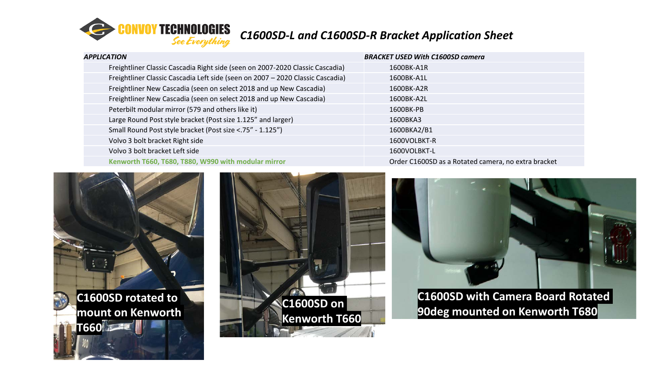

| APPLICATION |                                                                                | <b>BRACKET USED With C1600SD camera</b>             |
|-------------|--------------------------------------------------------------------------------|-----------------------------------------------------|
|             | Freightliner Classic Cascadia Right side (seen on 2007-2020 Classic Cascadia)  | 1600BK-A1R                                          |
|             | Freightliner Classic Cascadia Left side (seen on 2007 - 2020 Classic Cascadia) | 1600BK-A1L                                          |
|             | Freightliner New Cascadia (seen on select 2018 and up New Cascadia)            | 1600BK-A2R                                          |
|             | Freightliner New Cascadia (seen on select 2018 and up New Cascadia)            | 1600BK-A2L                                          |
|             | Peterbilt modular mirror (579 and others like it)                              | 1600BK-PB                                           |
|             | Large Round Post style bracket (Post size 1.125" and larger)                   | 1600BKA3                                            |
|             | Small Round Post style bracket (Post size <. 75" - 1.125")                     | 1600BKA2/B1                                         |
|             | Volvo 3 bolt bracket Right side                                                | 1600VOLBKT-R                                        |
|             | Volvo 3 bolt bracket Left side                                                 | 1600VOLBKT-L                                        |
|             | Kenworth T660, T680, T880, W990 with modular mirror                            | Order C1600SD as a Rotated camera, no extra bracket |







**C1600SD with Camera Board Rotated 90deg mounted on Kenworth T680 C1600SD on**